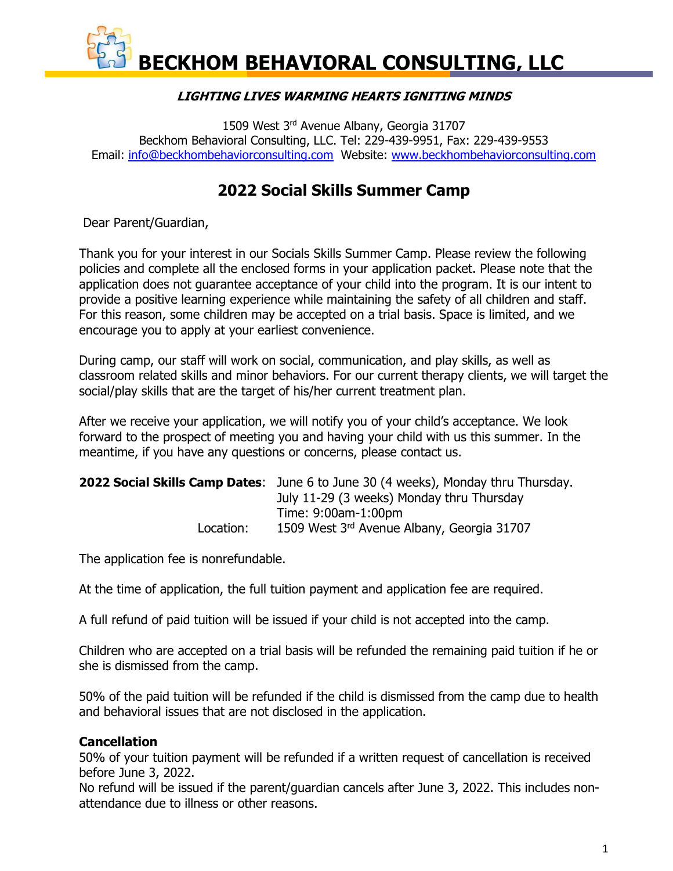### **LIGHTING LIVES WARMING HEARTS IGNITING MINDS**

1509 West 3<sup>rd</sup> Avenue Albany, Georgia 31707 Beckhom Behavioral Consulting, LLC. Tel: 229-439-9951, Fax: 229-439-9553 Email: [info@beckhombehaviorconsulting.com](mailto:info@beckhombehaviorconsulting.com) Website: [www.beckhombehaviorconsulting.com](http://www.beckhombehaviorconsulting.com/)

# **2022 Social Skills Summer Camp**

Dear Parent/Guardian,

Thank you for your interest in our Socials Skills Summer Camp. Please review the following policies and complete all the enclosed forms in your application packet. Please note that the application does not guarantee acceptance of your child into the program. It is our intent to provide a positive learning experience while maintaining the safety of all children and staff. For this reason, some children may be accepted on a trial basis. Space is limited, and we encourage you to apply at your earliest convenience.

During camp, our staff will work on social, communication, and play skills, as well as classroom related skills and minor behaviors. For our current therapy clients, we will target the social/play skills that are the target of his/her current treatment plan.

After we receive your application, we will notify you of your child's acceptance. We look forward to the prospect of meeting you and having your child with us this summer. In the meantime, if you have any questions or concerns, please contact us.

|           | <b>2022 Social Skills Camp Dates:</b> June 6 to June 30 (4 weeks), Monday thru Thursday. |
|-----------|------------------------------------------------------------------------------------------|
|           | July 11-29 (3 weeks) Monday thru Thursday                                                |
|           | Time: 9:00am-1:00pm                                                                      |
| Location: | 1509 West 3rd Avenue Albany, Georgia 31707                                               |

The application fee is nonrefundable.

At the time of application, the full tuition payment and application fee are required.

A full refund of paid tuition will be issued if your child is not accepted into the camp.

Children who are accepted on a trial basis will be refunded the remaining paid tuition if he or she is dismissed from the camp.

50% of the paid tuition will be refunded if the child is dismissed from the camp due to health and behavioral issues that are not disclosed in the application.

### **Cancellation**

50% of your tuition payment will be refunded if a written request of cancellation is received before June 3, 2022.

No refund will be issued if the parent/guardian cancels after June 3, 2022. This includes nonattendance due to illness or other reasons.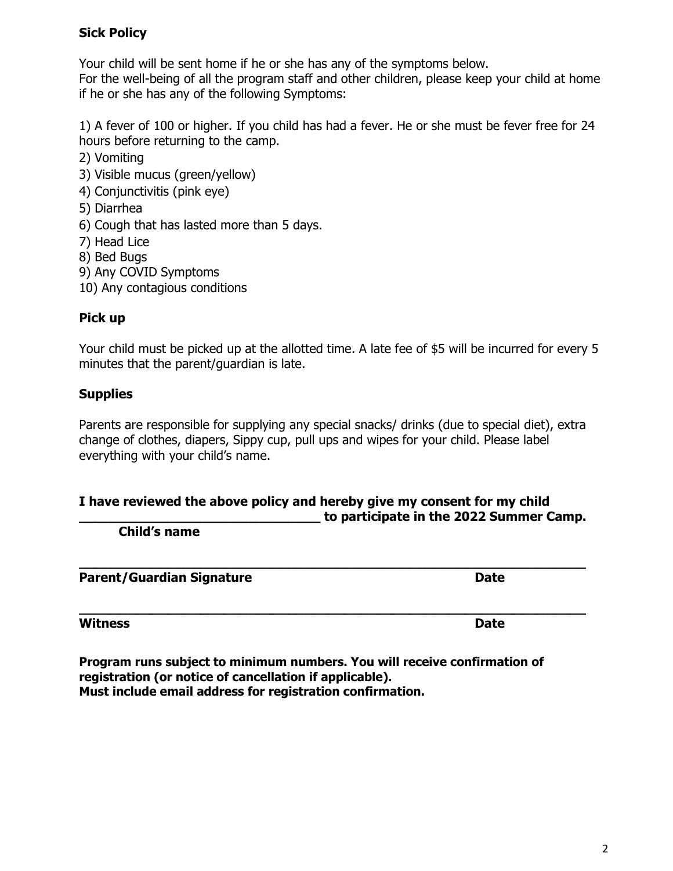### **Sick Policy**

Your child will be sent home if he or she has any of the symptoms below.

For the well-being of all the program staff and other children, please keep your child at home if he or she has any of the following Symptoms:

1) A fever of 100 or higher. If you child has had a fever. He or she must be fever free for 24 hours before returning to the camp.

- 2) Vomiting
- 3) Visible mucus (green/yellow)
- 4) Conjunctivitis (pink eye)
- 5) Diarrhea
- 6) Cough that has lasted more than 5 days.
- 7) Head Lice
- 8) Bed Bugs
- 9) Any COVID Symptoms
- 10) Any contagious conditions

## **Pick up**

Your child must be picked up at the allotted time. A late fee of \$5 will be incurred for every 5 minutes that the parent/guardian is late.

## **Supplies**

Parents are responsible for supplying any special snacks/ drinks (due to special diet), extra change of clothes, diapers, Sippy cup, pull ups and wipes for your child. Please label everything with your child's name.

#### **I have reviewed the above policy and hereby give my consent for my child \_\_\_\_\_\_\_\_\_\_\_\_\_\_\_\_\_\_\_\_\_\_\_\_\_\_\_\_\_\_ to participate in the 2022 Summer Camp.**

**\_\_\_\_\_\_\_\_\_\_\_\_\_\_\_\_\_\_\_\_\_\_\_\_\_\_\_\_\_\_\_\_\_\_\_\_\_\_\_\_\_\_\_\_\_\_\_\_\_\_\_\_\_\_\_\_\_\_\_\_\_\_\_**

**\_\_\_\_\_\_\_\_\_\_\_\_\_\_\_\_\_\_\_\_\_\_\_\_\_\_\_\_\_\_\_\_\_\_\_\_\_\_\_\_\_\_\_\_\_\_\_\_\_\_\_\_\_\_\_\_\_\_\_\_\_\_\_**

**Child's name** 

**Parent/Guardian Signature data assists and Date of Parents Date** 

**Witness Date** 

**Program runs subject to minimum numbers. You will receive confirmation of registration (or notice of cancellation if applicable). Must include email address for registration confirmation.**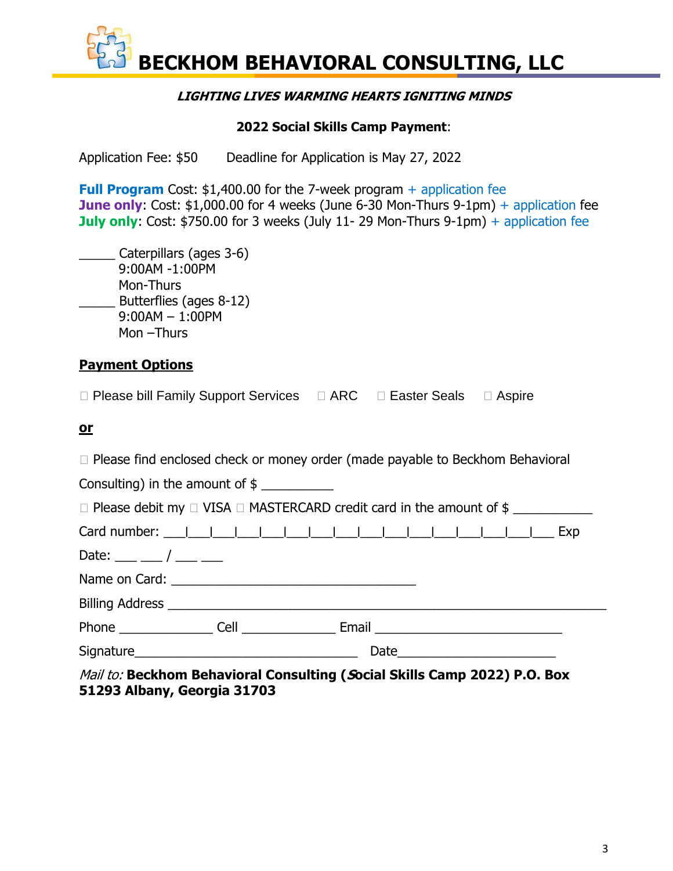#### **LIGHTING LIVES WARMING HEARTS IGNITING MINDS**

#### **2022 Social Skills Camp Payment**:

Application Fee: \$50 Deadline for Application is May 27, 2022

**Full Program** Cost: \$1,400.00 for the 7-week program + application fee **June only:** Cost: \$1,000.00 for 4 weeks (June 6-30 Mon-Thurs 9-1pm) + application fee **July only:** Cost: \$750.00 for 3 weeks (July 11- 29 Mon-Thurs 9-1pm) + application fee

| Caterpillars (ages 3-6) |
|-------------------------|
| 9:00AM -1:00PM          |
| Mon-Thurs               |
| Butterflies (ages 8-12) |
| $9:00AM - 1:00PM$       |
| Mon -Thurs              |

## **Payment Options**

#### **or**

| $\Box$ Please find enclosed check or money order (made payable to Beckhom Behavioral |  |
|--------------------------------------------------------------------------------------|--|
| Consulting) in the amount of $\frac{1}{2}$ _______________                           |  |
| $\Box$ Please debit my $\Box$ VISA $\Box$ MASTERCARD credit card in the amount of \$ |  |
|                                                                                      |  |
| Date: __ _ __ / __ _ _                                                               |  |
|                                                                                      |  |
|                                                                                      |  |
|                                                                                      |  |
|                                                                                      |  |
| Mail to: Beckhom Behavioral Consulting (Social Skills Camp 2022) P.O. Box            |  |

**51293 Albany, Georgia 31703**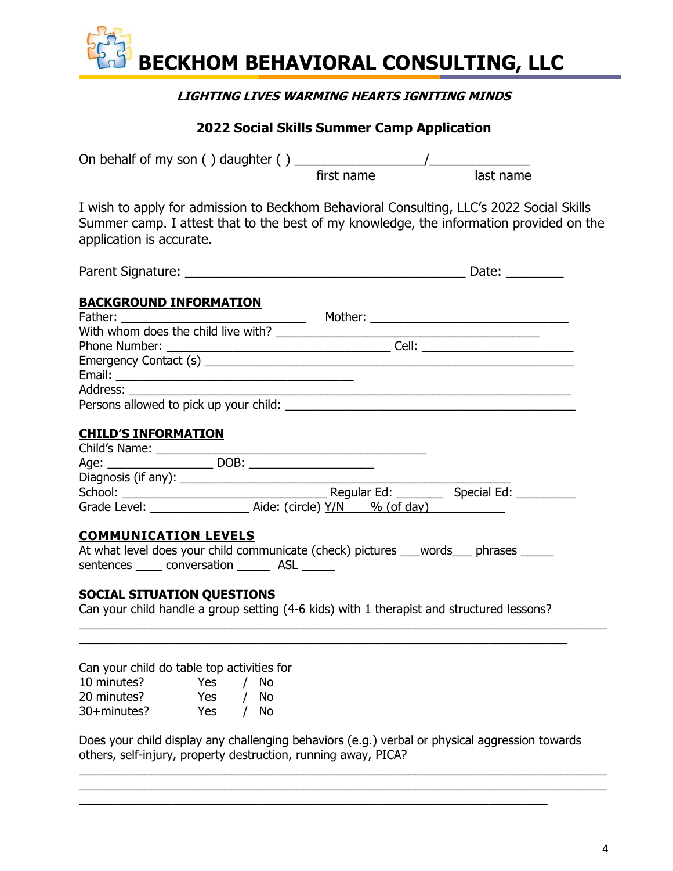### **LIGHTING LIVES WARMING HEARTS IGNITING MINDS**

## **2022 Social Skills Summer Camp Application**

|                                                                                                                                                                                                                                  | first name | last name |  |
|----------------------------------------------------------------------------------------------------------------------------------------------------------------------------------------------------------------------------------|------------|-----------|--|
| I wish to apply for admission to Beckhom Behavioral Consulting, LLC's 2022 Social Skills<br>Summer camp. I attest that to the best of my knowledge, the information provided on the<br>application is accurate.                  |            |           |  |
|                                                                                                                                                                                                                                  |            |           |  |
| <b>BACKGROUND INFORMATION</b>                                                                                                                                                                                                    |            |           |  |
|                                                                                                                                                                                                                                  |            |           |  |
|                                                                                                                                                                                                                                  |            |           |  |
| Phone Number:<br>The Cell: Cell: Cell: Cell: Cell: Cell: Cell: Cell: Cell: Cell: Cell: Cell: Cell: Cell: Cell: Cell: Cell: Cell: Cell: Cell: Cell: Cell: Cell: Cell: Cell: Cell: Cell: Cell: Cell: Cell: Cell: Cell: Cell: Cell: |            |           |  |
|                                                                                                                                                                                                                                  |            |           |  |
|                                                                                                                                                                                                                                  |            |           |  |
|                                                                                                                                                                                                                                  |            |           |  |
|                                                                                                                                                                                                                                  |            |           |  |
| <b>CHILD'S INFORMATION</b>                                                                                                                                                                                                       |            |           |  |
|                                                                                                                                                                                                                                  |            |           |  |
|                                                                                                                                                                                                                                  |            |           |  |
|                                                                                                                                                                                                                                  |            |           |  |
|                                                                                                                                                                                                                                  |            |           |  |
|                                                                                                                                                                                                                                  |            |           |  |
| <b>COMMUNICATION LEVELS</b>                                                                                                                                                                                                      |            |           |  |
| At what level does your child communicate (check) pictures ___words___ phrases _____                                                                                                                                             |            |           |  |
| sentences ______ conversation _________ ASL ______                                                                                                                                                                               |            |           |  |
| <b>SOCIAL SITUATION QUESTIONS</b>                                                                                                                                                                                                |            |           |  |
| Can your child handle a group setting (4-6 kids) with 1 therapist and structured lessons?                                                                                                                                        |            |           |  |

Can your child do table top activities for

| 10 minutes? | Yes | No. |
|-------------|-----|-----|
| 20 minutes? | Yes | No. |
| 30+minutes? | Yes | Νo  |

Does your child display any challenging behaviors (e.g.) verbal or physical aggression towards others, self-injury, property destruction, running away, PICA?

 $\_$  , and the set of the set of the set of the set of the set of the set of the set of the set of the set of the set of the set of the set of the set of the set of the set of the set of the set of the set of the set of th

\_\_\_\_\_\_\_\_\_\_\_\_\_\_\_\_\_\_\_\_\_\_\_\_\_\_\_\_\_\_\_\_\_\_\_\_\_\_\_\_\_\_\_\_\_\_\_\_\_\_\_\_\_\_\_\_\_\_\_\_\_\_\_\_\_\_\_\_\_\_\_\_\_\_\_\_\_\_\_\_  $\_$  , and the set of the set of the set of the set of the set of the set of the set of the set of the set of the set of the set of the set of the set of the set of the set of the set of the set of the set of the set of th

 $\_$  ,  $\_$  ,  $\_$  ,  $\_$  ,  $\_$  ,  $\_$  ,  $\_$  ,  $\_$  ,  $\_$  ,  $\_$  ,  $\_$  ,  $\_$  ,  $\_$  ,  $\_$  ,  $\_$  ,  $\_$  ,  $\_$  ,  $\_$  ,  $\_$  ,  $\_$  ,  $\_$  ,  $\_$  ,  $\_$  ,  $\_$  ,  $\_$  ,  $\_$  ,  $\_$  ,  $\_$  ,  $\_$  ,  $\_$  ,  $\_$  ,  $\_$  ,  $\_$  ,  $\_$  ,  $\_$  ,  $\_$  ,  $\_$  ,

 $\_$  , and the set of the set of the set of the set of the set of the set of the set of the set of the set of the set of the set of the set of the set of the set of the set of the set of the set of the set of the set of th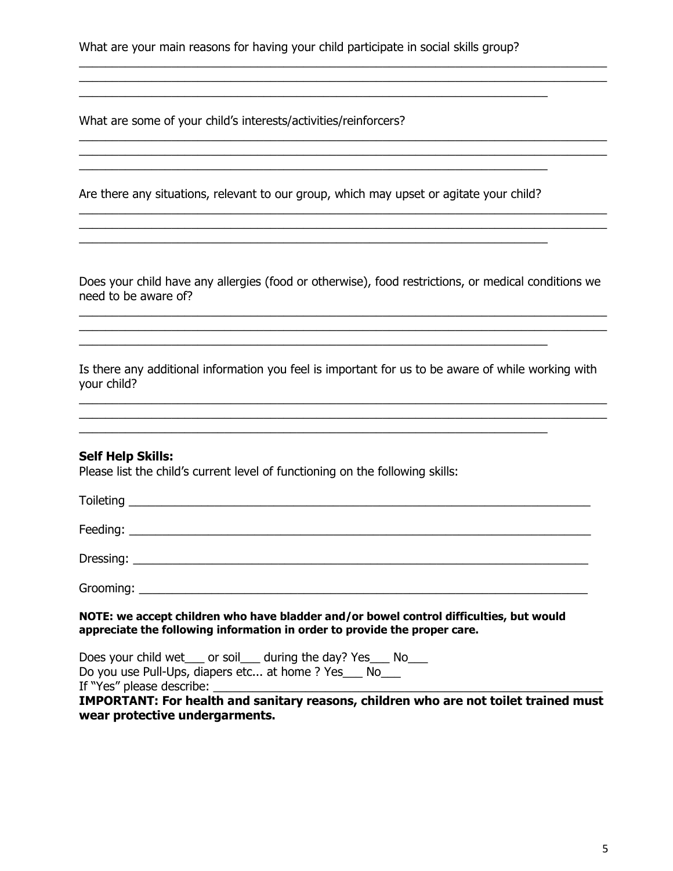What are your main reasons for having your child participate in social skills group?

\_\_\_\_\_\_\_\_\_\_\_\_\_\_\_\_\_\_\_\_\_\_\_\_\_\_\_\_\_\_\_\_\_\_\_\_\_\_\_\_\_\_\_\_\_\_\_\_\_\_\_\_\_\_\_\_\_\_\_\_\_\_\_\_\_\_\_\_\_\_\_\_\_\_\_\_\_\_\_\_

 $\_$  , and the set of the set of the set of the set of the set of the set of the set of the set of the set of the set of the set of the set of the set of the set of the set of the set of the set of the set of the set of th

 $\_$  , and the set of the set of the set of the set of the set of the set of the set of the set of the set of the set of the set of the set of the set of the set of the set of the set of the set of the set of the set of th

 $\_$  , and the set of the set of the set of the set of the set of the set of the set of the set of the set of the set of the set of the set of the set of the set of the set of the set of the set of the set of the set of th \_\_\_\_\_\_\_\_\_\_\_\_\_\_\_\_\_\_\_\_\_\_\_\_\_\_\_\_\_\_\_\_\_\_\_\_\_\_\_\_\_\_\_\_\_\_\_\_\_\_\_\_\_\_\_\_\_\_\_\_\_\_\_\_\_\_\_\_\_\_\_\_\_\_\_\_\_\_\_\_

What are some of your child's interests/activities/reinforcers?

Are there any situations, relevant to our group, which may upset or agitate your child?

 $\_$ 

 $\overline{\phantom{a}}$  , and the contribution of the contribution of the contribution of the contribution of the contribution of the contribution of the contribution of the contribution of the contribution of the contribution of the

Does your child have any allergies (food or otherwise), food restrictions, or medical conditions we need to be aware of?

 $\_$  , and the set of the set of the set of the set of the set of the set of the set of the set of the set of the set of the set of the set of the set of the set of the set of the set of the set of the set of the set of th \_\_\_\_\_\_\_\_\_\_\_\_\_\_\_\_\_\_\_\_\_\_\_\_\_\_\_\_\_\_\_\_\_\_\_\_\_\_\_\_\_\_\_\_\_\_\_\_\_\_\_\_\_\_\_\_\_\_\_\_\_\_\_\_\_\_\_\_\_\_\_\_\_\_\_\_\_\_\_\_

Is there any additional information you feel is important for us to be aware of while working with your child?

 $\_$  , and the set of the set of the set of the set of the set of the set of the set of the set of the set of the set of the set of the set of the set of the set of the set of the set of the set of the set of the set of th

 $\mathcal{L}_\mathcal{L} = \mathcal{L}_\mathcal{L} = \mathcal{L}_\mathcal{L} = \mathcal{L}_\mathcal{L} = \mathcal{L}_\mathcal{L} = \mathcal{L}_\mathcal{L} = \mathcal{L}_\mathcal{L} = \mathcal{L}_\mathcal{L} = \mathcal{L}_\mathcal{L} = \mathcal{L}_\mathcal{L} = \mathcal{L}_\mathcal{L} = \mathcal{L}_\mathcal{L} = \mathcal{L}_\mathcal{L} = \mathcal{L}_\mathcal{L} = \mathcal{L}_\mathcal{L} = \mathcal{L}_\mathcal{L} = \mathcal{L}_\mathcal{L}$ 

#### **Self Help Skills:**

Please list the child's current level of functioning on the following skills:

| NOTE: we accept children who have bladder and/or bowel control difficulties, but would<br>appreciate the following information in order to provide the proper care. |
|---------------------------------------------------------------------------------------------------------------------------------------------------------------------|
| Does your child wet ____ or soil _____ during the day? Yes _____ No<br>Do you use Pull-Ups, diapers etc at home ? Yes_Mo__                                          |

If "Yes" please describe: \_\_\_\_\_\_\_\_\_\_\_\_\_\_\_\_\_\_\_\_\_\_\_\_\_\_\_\_\_\_\_\_\_\_\_\_\_\_\_\_\_\_\_\_\_\_\_\_\_\_\_\_\_\_\_\_\_\_\_

**IMPORTANT: For health and sanitary reasons, children who are not toilet trained must wear protective undergarments.**